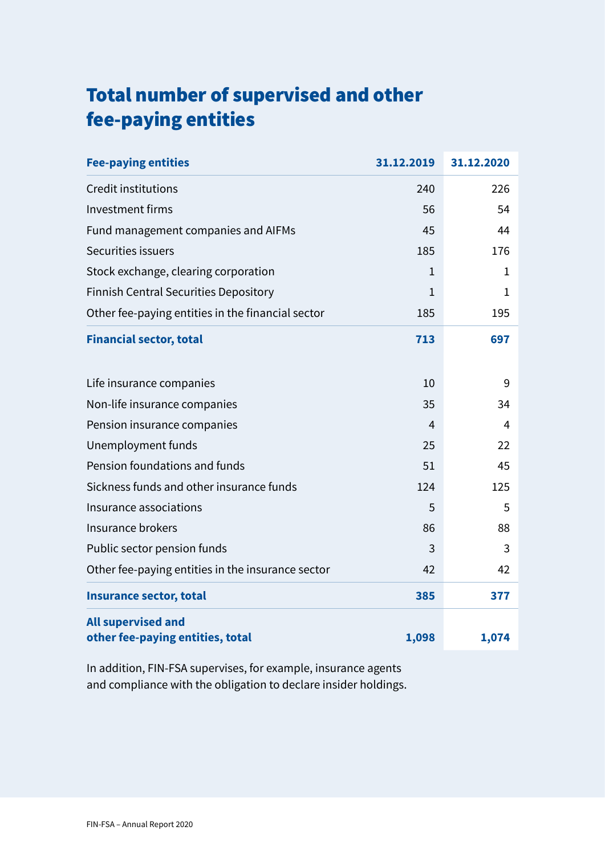### Total number of supervised and other fee-paying entities

| <b>Fee-paying entities</b>                                    | 31.12.2019   | 31.12.2020   |
|---------------------------------------------------------------|--------------|--------------|
| Credit institutions                                           | 240          | 226          |
| <b>Investment firms</b>                                       | 56           | 54           |
| Fund management companies and AIFMs                           | 45           | 44           |
| Securities issuers                                            | 185          | 176          |
| Stock exchange, clearing corporation                          | $\mathbf{1}$ | $\mathbf{1}$ |
| <b>Finnish Central Securities Depository</b>                  | 1            | $\mathbf{1}$ |
| Other fee-paying entities in the financial sector             | 185          | 195          |
| <b>Financial sector, total</b>                                | 713          | 697          |
| Life insurance companies                                      | 10           | 9            |
| Non-life insurance companies                                  | 35           | 34           |
| Pension insurance companies                                   | 4            | 4            |
| Unemployment funds                                            | 25           | 22           |
| Pension foundations and funds                                 | 51           | 45           |
| Sickness funds and other insurance funds                      | 124          | 125          |
| Insurance associations                                        | 5            | 5            |
| Insurance brokers                                             | 86           | 88           |
| Public sector pension funds                                   | 3            | 3            |
| Other fee-paying entities in the insurance sector             | 42           | 42           |
| <b>Insurance sector, total</b>                                | 385          | 377          |
| <b>All supervised and</b><br>other fee-paying entities, total | 1,098        | 1,074        |

In addition, FIN-FSA supervises, for example, insurance agents and compliance with the obligation to declare insider holdings.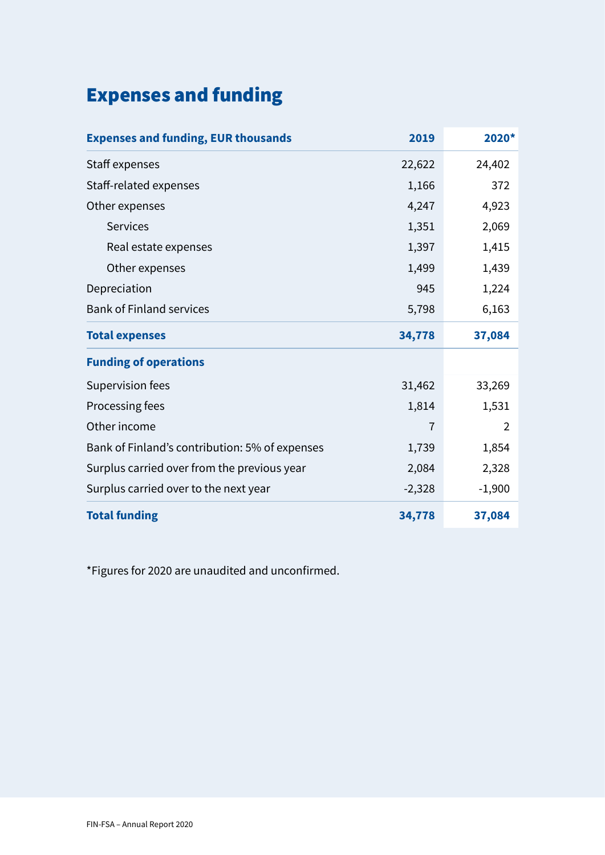# Expenses and funding

| <b>Expenses and funding, EUR thousands</b>     | 2019           | 2020*          |
|------------------------------------------------|----------------|----------------|
| Staff expenses                                 | 22,622         | 24,402         |
| Staff-related expenses                         | 1,166          | 372            |
| Other expenses                                 | 4,247          | 4,923          |
| <b>Services</b>                                | 1,351          | 2,069          |
| Real estate expenses                           | 1,397          | 1,415          |
| Other expenses                                 | 1,499          | 1,439          |
| Depreciation                                   | 945            | 1,224          |
| <b>Bank of Finland services</b>                | 5,798          | 6,163          |
| <b>Total expenses</b>                          | 34,778         | 37,084         |
| <b>Funding of operations</b>                   |                |                |
| Supervision fees                               | 31,462         | 33,269         |
| Processing fees                                | 1,814          | 1,531          |
| Other income                                   | $\overline{1}$ | $\overline{2}$ |
| Bank of Finland's contribution: 5% of expenses | 1,739          | 1,854          |
| Surplus carried over from the previous year    | 2,084          | 2,328          |
| Surplus carried over to the next year          | $-2,328$       | $-1,900$       |
| <b>Total funding</b>                           | 34,778         | 37,084         |

\*Figures for 2020 are unaudited and unconfrmed.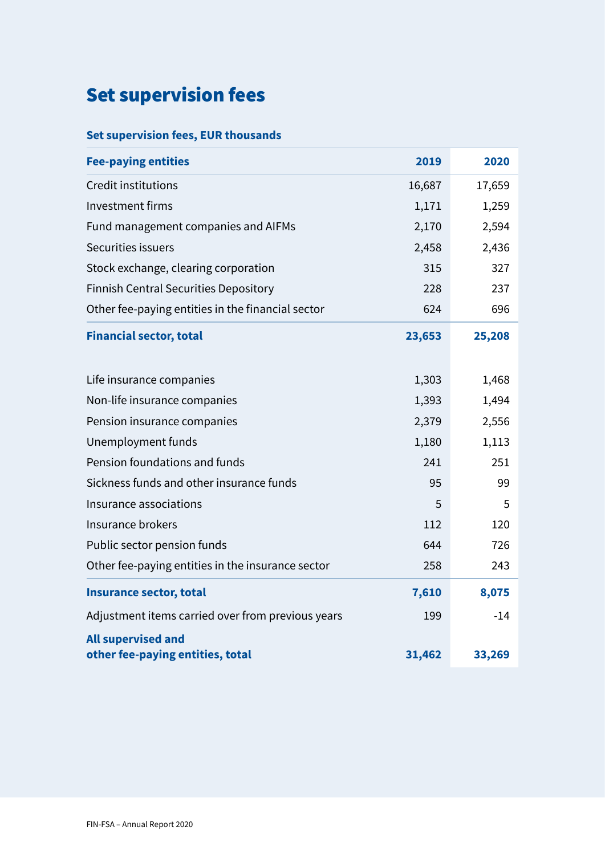# Set supervision fees

#### **Set supervision fees, EUR thousands**

| <b>Fee-paying entities</b>                                    | 2019   | 2020   |
|---------------------------------------------------------------|--------|--------|
| Credit institutions                                           | 16,687 | 17,659 |
| <b>Investment firms</b>                                       | 1,171  | 1,259  |
| Fund management companies and AIFMs                           | 2,170  | 2,594  |
| Securities issuers                                            | 2,458  | 2,436  |
| Stock exchange, clearing corporation                          | 315    | 327    |
| <b>Finnish Central Securities Depository</b>                  | 228    | 237    |
| Other fee-paying entities in the financial sector             | 624    | 696    |
| <b>Financial sector, total</b>                                | 23,653 | 25,208 |
| Life insurance companies                                      | 1,303  | 1,468  |
| Non-life insurance companies                                  | 1,393  | 1,494  |
| Pension insurance companies                                   | 2,379  | 2,556  |
| Unemployment funds                                            | 1,180  | 1,113  |
| Pension foundations and funds                                 | 241    | 251    |
| Sickness funds and other insurance funds                      | 95     | 99     |
| Insurance associations                                        | 5      | 5      |
| Insurance brokers                                             | 112    | 120    |
| Public sector pension funds                                   | 644    | 726    |
| Other fee-paying entities in the insurance sector             | 258    | 243    |
| <b>Insurance sector, total</b>                                | 7,610  | 8,075  |
| Adjustment items carried over from previous years             | 199    | $-14$  |
| <b>All supervised and</b><br>other fee-paying entities, total | 31,462 | 33,269 |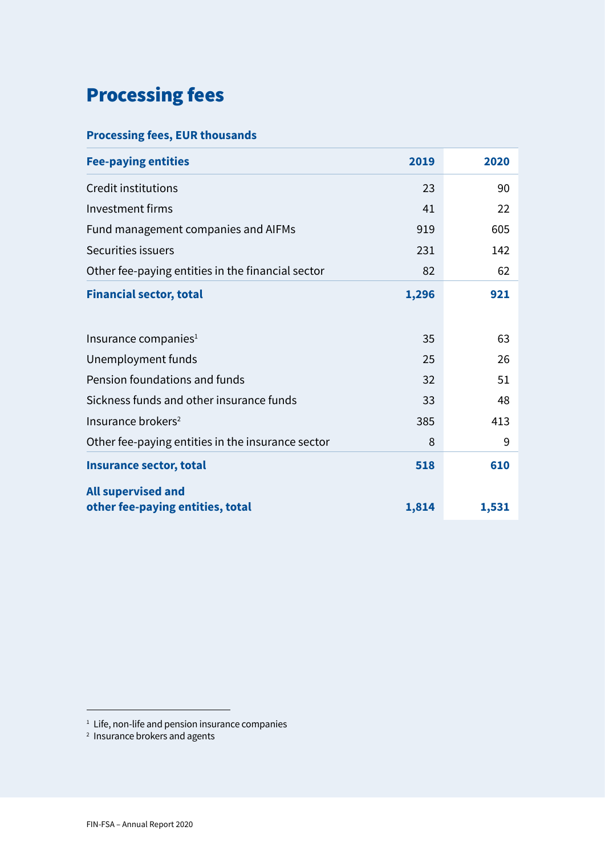## Processing fees

#### **Processing fees, EUR thousands**

| <b>Fee-paying entities</b>                        | 2019  | 2020  |
|---------------------------------------------------|-------|-------|
| Credit institutions                               | 23    | 90    |
| <b>Investment firms</b>                           | 41    | 22    |
| Fund management companies and AIFMs               | 919   | 605   |
| Securities issuers                                | 231   | 142   |
| Other fee-paying entities in the financial sector | 82    | 62    |
| <b>Financial sector, total</b>                    | 1,296 | 921   |
|                                                   |       |       |
| Insurance companies $1$                           | 35    | 63    |
| Unemployment funds                                | 25    | 26    |
| Pension foundations and funds                     | 32    | 51    |
| Sickness funds and other insurance funds          | 33    | 48    |
| Insurance brokers <sup>2</sup>                    | 385   | 413   |
| Other fee-paying entities in the insurance sector | 8     | 9     |
| <b>Insurance sector, total</b>                    | 518   | 610   |
| <b>All supervised and</b>                         |       |       |
| other fee-paying entities, total                  | 1,814 | 1,531 |

 $^1$  Life, non-life and pension insurance companies

 $2$  Insurance brokers and agents